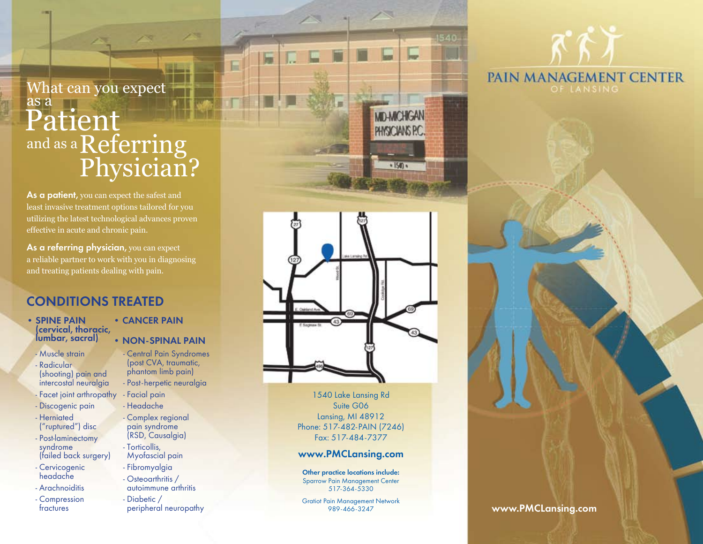## $_{\rm{Patient}}^{{\rm{as\,a}}}$ and as a  ${\rm Referring}$ Physician? What can you expect as a

**As a patient,** you can expect the safest and least invasive treatment options tailored for you utilizing the latest technological advances proven effective in acute and chronic pain.

**As a referring physician,** you can expect a reliable partner to work with you in diagnosing and treating patients dealing with pain.

#### **CONDITIONS TREATED**

- **Spine Pain (cervical, thoracic, lumbar, sacral)**
	- Muscle strain
- Radicular (shooting) pain and intercostal neuralgia - Facet joint arthropathy
- Discogenic pain
- Herniated ("ruptured") disc
- Post-laminectomy syndrome
- (failed back surgery)
- Cervicogenic headache
- Arachnoiditis
- Compression fractures
- **CANCER PAIN**
- **NON-SPINAL PAIN**

- Central Pain Syndromes (post CVA, traumatic, phantom limb pain) - Post-herpetic neuralgia - Facial pain - Headache

- Complex regional pain syndrome (RSD, Causalgia) - Torticollis, Myofascial pain
- Fibromyalgia - Osteoarthritis / autoimmune arthritis

- Diabetic / peripheral neuropathy



**MD-MICHIGAN** PHYSICIANS P.C.

 $\cdot$  ISM  $\cdot$ 

1540 Lake Lansing Rd Suite G06 Lansing, MI 48912 Phone: 517-482-PAIN (7246) Fax: 517-484-7377

#### **www. PMCLansing.com**

**Other practice locations include:**  Sparrow Pain Management Center 517-364-5330

Gratiot Pain Management Network



#### 989-466-3247 **www.PMCLansing.com**